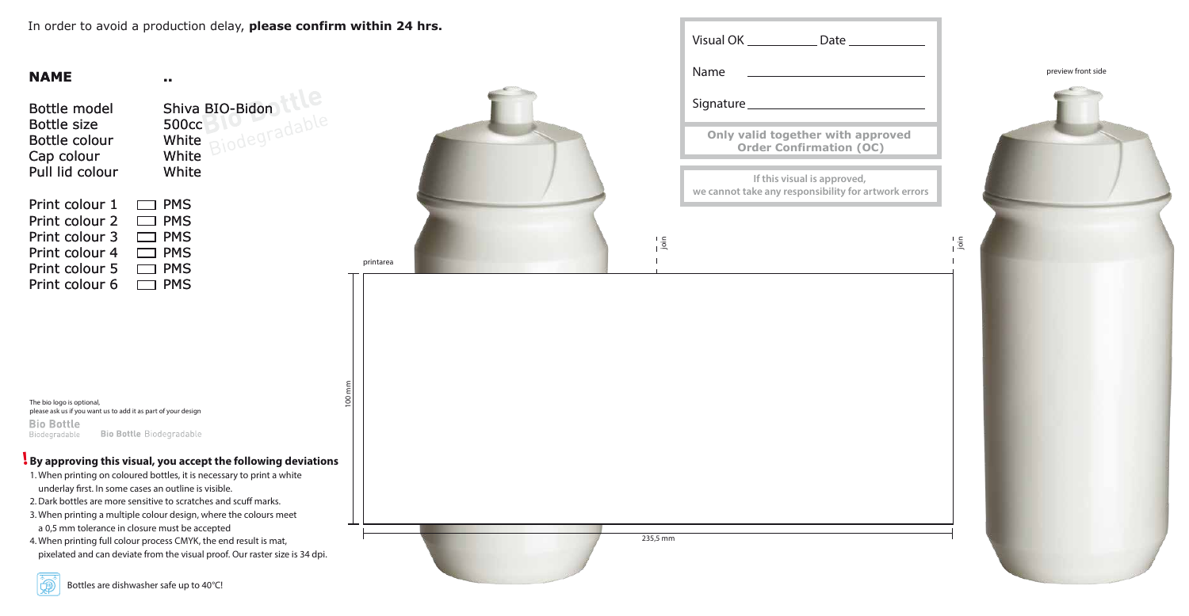In order to avoid a production delay, **please confirm within 24 hrs.**

# **NAME**

Bottle model Bottle size Bottle colour Cap colour Pull lid colour

The bio logo is optional, please ask us if you want us to add it as part of your design **Bio Bottle Bio Bottle Biodegradable** Biodegradable

| $\Box$ PMS |
|------------|
| $\Box$ PMS |
| $\Box$ PMS |
| $\Box$ PMS |
| $\Box$ PMS |
| $\Box$ PMS |
|            |

**..**

Shiva BIO-Bidon 500cc White White White

|               | Visual OK _______________ Date ______________                                       |               |
|---------------|-------------------------------------------------------------------------------------|---------------|
|               | Name                                                                                |               |
|               |                                                                                     |               |
|               | Only valid together with approved<br><b>Order Confirmation (OC)</b>                 |               |
|               | If this visual is approved,<br>we cannot take any responsibility for artwork errors |               |
| $\frac{1}{2}$ |                                                                                     | $\frac{1}{2}$ |
|               |                                                                                     |               |
|               |                                                                                     |               |
|               |                                                                                     |               |
|               |                                                                                     |               |
|               |                                                                                     |               |
|               |                                                                                     |               |
|               |                                                                                     |               |
|               |                                                                                     |               |
| 235,5 mm      |                                                                                     |               |
|               |                                                                                     |               |

printarea

 $\mathsf{S}$ 

 $\frac{1}{235}$ 



### **By approving this visual, you accept the following deviations !**

- 1. When printing on coloured bottles, it is necessary to print a white underlay first. In some cases an outline is visible.
- 2. Dark bottles are more sensitive to scratches and scuff marks.
- 3. When printing a multiple colour design, where the colours meet a 0,5 mm tolerance in closure must be accepted
- 4. When printing full colour process CMYK, the end result is mat, pixelated and can deviate from the visual proof. Our raster size is 34 dpi.



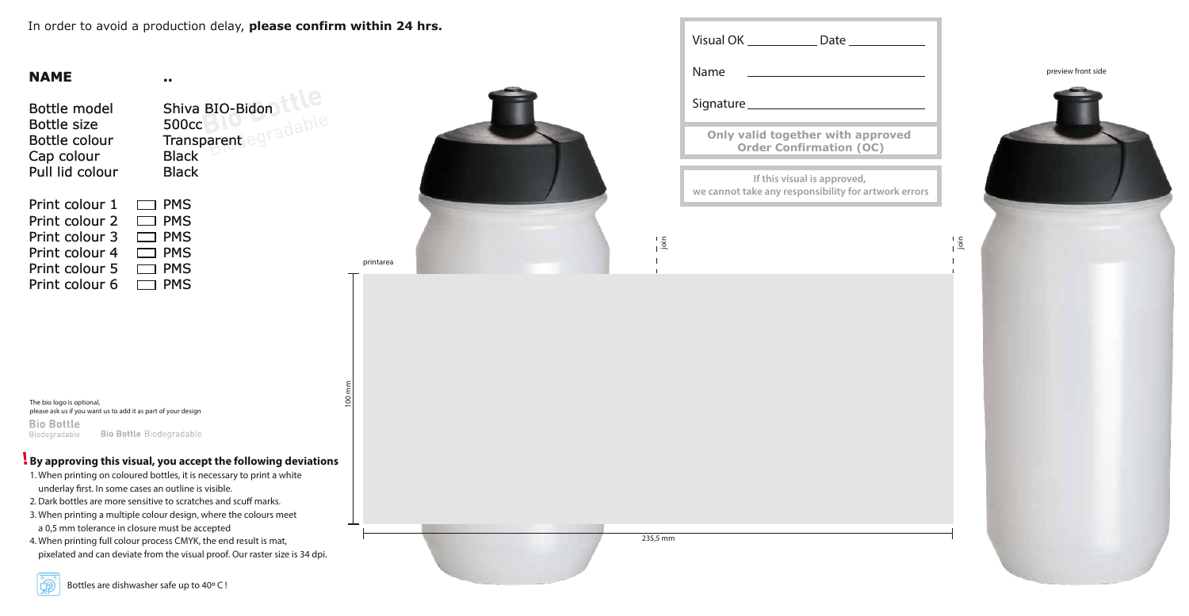In order to avoid a production delay, **please confirm within 24 hrs.**

# **NAME**

Bottle model Bottle size Bottle colour Cap colour Pull lid colour

| Print colour 1 | $\Box$ PMS |
|----------------|------------|
| Print colour 2 | $\Box$ PMS |
| Print colour 3 | $\Box$ PMS |
| Print colour 4 | $\Box$ PMS |
| Print colour 5 | $\Box$ PMS |
| Print colour 6 | $\Box$ PMS |

The bio logo is optional, please ask us if you want us to add it as part of your design **Bio Bottle Bio Bottle Biodegradable** Biodegradable

**..**

Shiva BIO-Bidon 500cc **Transparent Black** Black

printarea



100 mm



### **By approving this visual, you accept the following deviations !**

- 1. When printing on coloured bottles, it is necessary to print a white underlay first. In some cases an outline is visible.
- 2. Dark bottles are more sensitive to scratches and scuff marks.
- 3. When printing a multiple colour design, where the colours meet a 0,5 mm tolerance in closure must be accepted
- 4. When printing full colour process CMYK, the end result is mat, pixelated and can deviate from the visual proof. Our raster size is 34 dpi.



**Only valid togeth Order Con** Visual OK \_\_\_\_\_\_\_\_ Name Signature\_ **If this vis we cannot take any rearty** 

 $\frac{1}{1}$  $\frac{5}{1}$ 

 $1 - 1$ <br> $1 - 2$ <br>235,5 mm 235,5 mm

| Date                                                |  |
|-----------------------------------------------------|--|
|                                                     |  |
| ether with approved<br><b>nfirmation (OC)</b>       |  |
| ual is approved,<br>sponsibility for artwork errors |  |

l is<br>I<br>
I<br>
Sin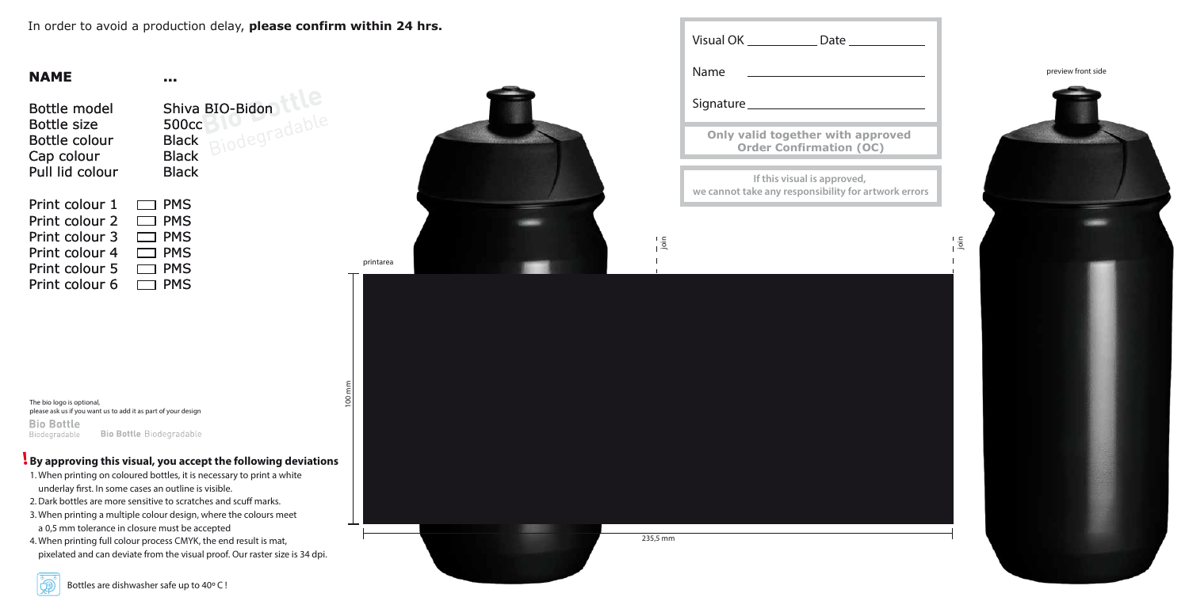In order to avoid a production delay, **please confirm within 24 hrs.**

### **NAME**

Bottle model Bottle size Bottle colour Cap colour Pull lid colour Shiva BIO-Bidon 500cc Black **Black Black** 

| Print colour 1 | $\Box$ PMS |
|----------------|------------|
| Print colour 2 | $\Box$ PMS |
| Print colour 3 | $\Box$ PMS |
| Print colour 4 | $\Box$ PMS |
| Print colour 5 | $\Box$ PMS |
| Print colour 6 | $\Box$ PMS |
|                |            |

The bio logo is optional, please ask us if you want us to add it as part of your design **Bio Bottle Bio Bottle Biodegradable** Biodegradable

**...**





i si

| Visual OK _______________ Date __________                                           |
|-------------------------------------------------------------------------------------|
| Name                                                                                |
| Signature ______                                                                    |
| Only valid together with approved<br><b>Order Confirmation (OC)</b>                 |
| If this visual is approved,<br>we cannot take any responsibility for artwork errors |
|                                                                                     |
|                                                                                     |

 $\infty$ 

 $-1 - 235,5$  mm 235,5 mm

 $\frac{1}{1}$ .  $\frac{5}{1}$ 

# **By approving this visual, you accept the following deviations !**

- 1. When printing on coloured bottles, it is necessary to print a white underlay first. In some cases an outline is visible.
- 2. Dark bottles are more sensitive to scratches and scuff marks.
- 3. When printing a multiple colour design, where the colours meet a 0,5 mm tolerance in closure must be accepted
- 4. When printing full colour process CMYK, the end result is mat, pixelated and can deviate from the visual proof. Our raster size is 34 dpi.

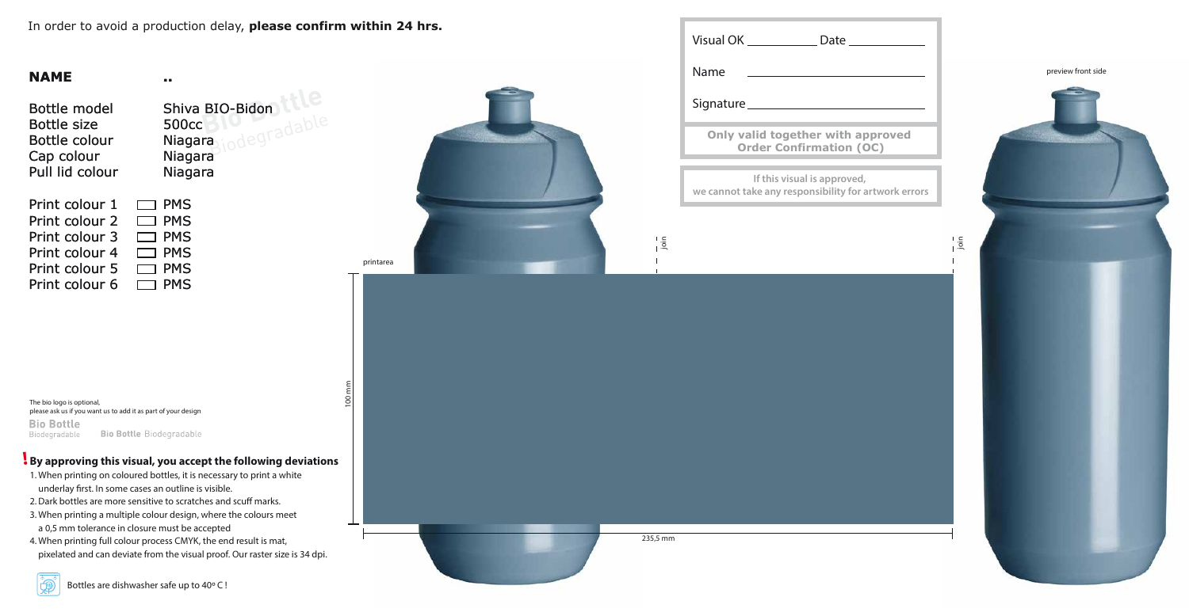### **By approving this visual, you accept the following deviations !**

- 1. When printing on coloured bottles, it is necessary to print a white underlay first. In some cases an outline is visible.
- 2. Dark bottles are more sensitive to scratches and scuff marks.
- 3. When printing a multiple colour design, where the colours meet a 0,5 mm tolerance in closure must be accepted
- 4. When printing full colour process CMYK, the end result is mat, pixelated and can deviate from the visual proof. Our raster size is 34 dpi.

Shiva BIO-Bidon<br>500cc<br>Niagara 500cc **Niagara** Niagara Niagara

In order to avoid a production delay, **please confirm within 24 hrs.**

# **NAME**

Bottle model Bottle size Bottle colour Cap colour Pull lid colour

| $\Box$ PMS |
|------------|
| $\Box$ PMS |
| $\Box$ PMS |
| $\Box$ PMS |
| $\Box$ PMS |
| $\Box$ PMS |
|            |

The bio logo is optional, please ask us if you want us to add it as part of your design **Bio Bottle Bio Bottle Biodegradable** Biodegradable

**..**



Visual OK \_\_\_\_\_\_\_ Name Signature\_ **Only valid tog Order Co If this vi we cannot take any rearty**  $\frac{1}{1}$  $\frac{5}{1}$  $-1 - 1 - 1$ <br>235,5 mm

 $\infty$ 

235,5 mm





| Date $\_$                                             |           |
|-------------------------------------------------------|-----------|
|                                                       |           |
| ether with approved<br>Infirmation (OC)               |           |
| sual is approved,<br>esponsibility for artwork errors |           |
|                                                       | ai<br>Lis |
|                                                       |           |
|                                                       |           |
|                                                       |           |
|                                                       |           |
|                                                       |           |
|                                                       |           |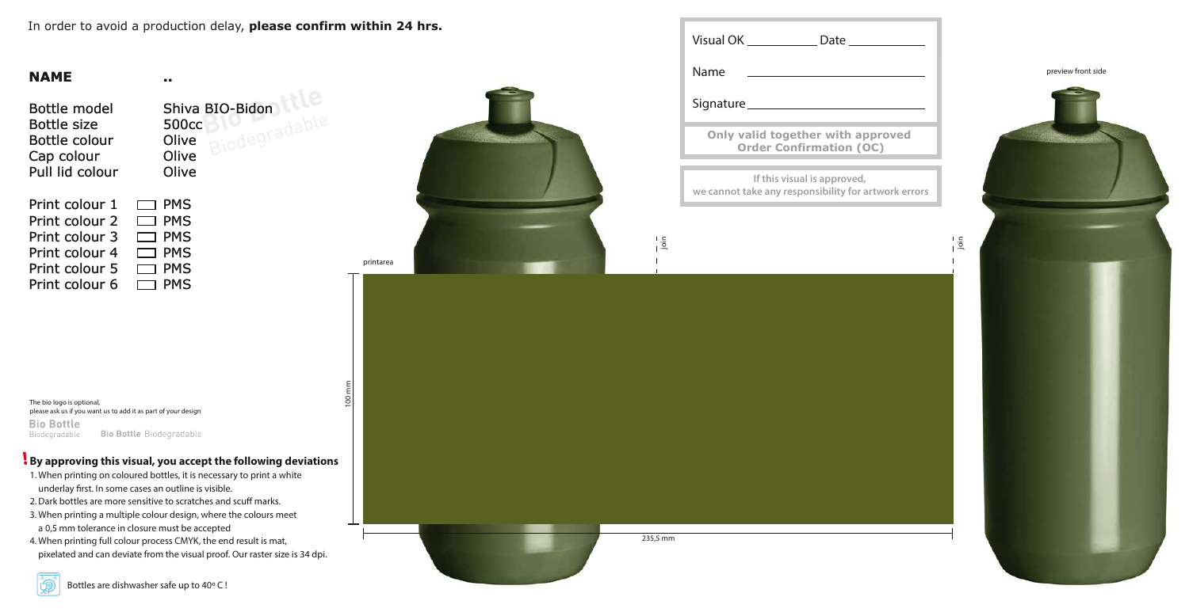### **By approving this visual, you accept the following deviations !**

- 1. When printing on coloured bottles, it is necessary to print a white underlay first. In some cases an outline is visible.
- 2. Dark bottles are more sensitive to scratches and scuff marks.
- 3. When printing a multiple colour design, where the colours meet a 0,5 mm tolerance in closure must be accepted
- 4. When printing full colour process CMYK, the end result is mat, pixelated and can deviate from the visual proof. Our raster size is 34 dpi.

Shiva BIO-Bidon 500cc Olive Olive **Olive**  $\Box$  PMS

In order to avoid a production delay, **please confirm within 24 hrs.**

# **NAME**

Bottle model Bottle size Bottle colour Cap colour Pull lid colour

Print colour 1

| Print colour 2 | $\Box$ PMS |
|----------------|------------|
| Print colour 3 | $\Box$ PMS |
| Print colour 4 | $\Box$ PMS |
| Print colour 5 | $\Box$ PMS |
| Print colour 6 | $\Box$ PMS |

The bio logo is optional, please ask us if you want us to add it as part of your design **Bio Bottle** Bio Bottle Biodegradable Biodegradable

**..**



Visual OK \_\_\_\_\_\_\_ Name Signature\_ **Only valid tog Order Co If this vi we cannot take any rearty**  $\frac{1}{1}$  $\frac{5}{1}$  $-1 - 1 - 1$ <br>235,5 mm

 $\infty$ 

235,5 mm





| Date $\_\_$                                           |          |
|-------------------------------------------------------|----------|
|                                                       |          |
| ether with approved<br><b>Infirmation (OC)</b>        |          |
| sual is approved,<br>esponsibility for artwork errors |          |
|                                                       | a<br>Lig |
|                                                       |          |
|                                                       |          |
|                                                       |          |
|                                                       |          |
|                                                       |          |
|                                                       |          |